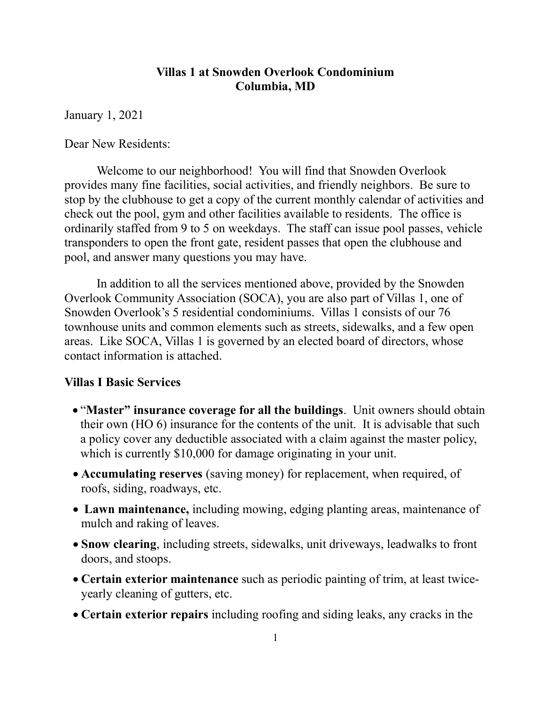### Villas 1 at Snowden Overlook Condominium Columbia, MD

January 1, 2021

Dear New Residents:

Welcome to our neighborhood! You will find that Snowden Overlook provides many fine facilities, social activities, and friendly neighbors. Be sure to stop by the clubhouse to get a copy of the current monthly calendar of activities and check out the pool, gym and other facilities available to residents. The office is ordinarily staffed from 9 to 5 on weekdays. The staff can issue pool passes, vehicle transponders to open the front gate, resident passes that open the clubhouse and pool, and answer many questions you may have.

In addition to all the services mentioned above, provided by the Snowden Overlook Community Association (SOCA), you are also part of Villas 1, one of Snowden Overlook's 5 residential condominiums. Villas 1 consists of our 76 townhouse units and common elements such as streets, sidewalks, and a few open areas. Like SOCA, Villas 1 is governed by an elected board of directors, whose contact information is attached.

### Villas I Basic Services

- "Master" insurance coverage for all the buildings. Unit owners should obtain their own (HO 6) insurance for the contents of the unit. It is advisable that such a policy cover any deductible associated with a claim against the master policy, which is currently \$10,000 for damage originating in your unit.
- Accumulating reserves (saving money) for replacement, when required, of roofs, siding, roadways, etc.
- Lawn maintenance, including mowing, edging planting areas, maintenance of mulch and raking of leaves.
- Snow clearing, including streets, sidewalks, unit driveways, leadwalks to front doors, and stoops.
- Certain exterior maintenance such as periodic painting of trim, at least twiceyearly cleaning of gutters, etc.
- Certain exterior repairs including roofing and siding leaks, any cracks in the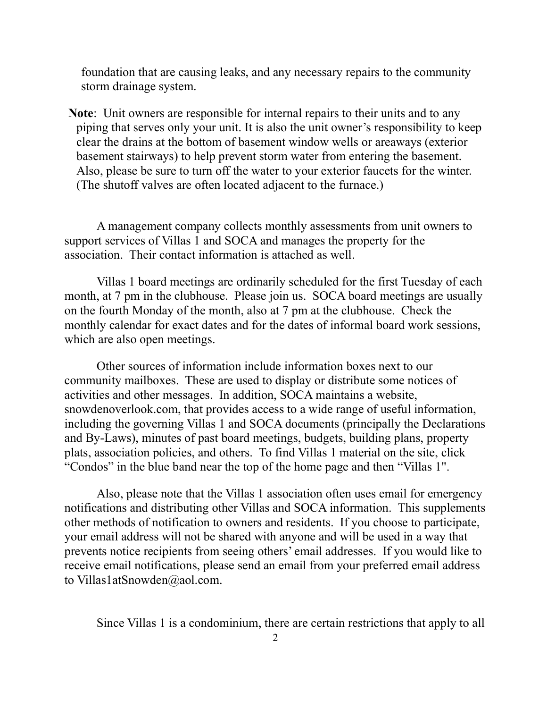foundation that are causing leaks, and any necessary repairs to the community storm drainage system.

Note: Unit owners are responsible for internal repairs to their units and to any piping that serves only your unit. It is also the unit owner's responsibility to keep clear the drains at the bottom of basement window wells or areaways (exterior basement stairways) to help prevent storm water from entering the basement. Also, please be sure to turn off the water to your exterior faucets for the winter. (The shutoff valves are often located adjacent to the furnace.)

A management company collects monthly assessments from unit owners to support services of Villas 1 and SOCA and manages the property for the association. Their contact information is attached as well.

Villas 1 board meetings are ordinarily scheduled for the first Tuesday of each month, at 7 pm in the clubhouse. Please join us. SOCA board meetings are usually on the fourth Monday of the month, also at 7 pm at the clubhouse. Check the monthly calendar for exact dates and for the dates of informal board work sessions, which are also open meetings.

Other sources of information include information boxes next to our community mailboxes. These are used to display or distribute some notices of activities and other messages. In addition, SOCA maintains a website, snowdenoverlook.com, that provides access to a wide range of useful information, including the governing Villas 1 and SOCA documents (principally the Declarations and By-Laws), minutes of past board meetings, budgets, building plans, property plats, association policies, and others. To find Villas 1 material on the site, click "Condos" in the blue band near the top of the home page and then "Villas 1".

Also, please note that the Villas 1 association often uses email for emergency notifications and distributing other Villas and SOCA information. This supplements other methods of notification to owners and residents. If you choose to participate, your email address will not be shared with anyone and will be used in a way that prevents notice recipients from seeing others' email addresses. If you would like to receive email notifications, please send an email from your preferred email address to Villas1atSnowden@aol.com.

Since Villas 1 is a condominium, there are certain restrictions that apply to all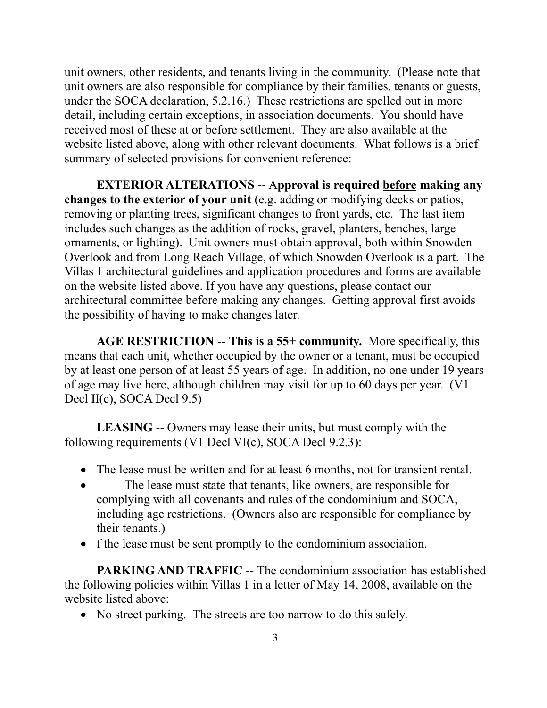unit owners, other residents, and tenants living in the community. (Please note that unit owners are also responsible for compliance by their families, tenants or guests, under the SOCA declaration, 5.2.16.) These restrictions are spelled out in more detail, including certain exceptions, in association documents. You should have received most of these at or before settlement. They are also available at the website listed above, along with other relevant documents. What follows is a brief summary of selected provisions for convenient reference:

EXTERIOR ALTERATIONS -- Approval is required before making any changes to the exterior of your unit (e.g. adding or modifying decks or patios, removing or planting trees, significant changes to front yards, etc. The last item includes such changes as the addition of rocks, gravel, planters, benches, large ornaments, or lighting). Unit owners must obtain approval, both within Snowden Overlook and from Long Reach Village, of which Snowden Overlook is a part. The Villas 1 architectural guidelines and application procedures and forms are available on the website listed above. If you have any questions, please contact our architectural committee before making any changes. Getting approval first avoids the possibility of having to make changes later.

AGE RESTRICTION -- This is a 55+ community. More specifically, this means that each unit, whether occupied by the owner or a tenant, must be occupied by at least one person of at least 55 years of age. In addition, no one under 19 years of age may live here, although children may visit for up to 60 days per year. (V1 Decl II(c), SOCA Decl 9.5)

LEASING -- Owners may lease their units, but must comply with the following requirements (V1 Decl VI(c), SOCA Decl 9.2.3):

- The lease must be written and for at least 6 months, not for transient rental.
- The lease must state that tenants, like owners, are responsible for complying with all covenants and rules of the condominium and SOCA, including age restrictions. (Owners also are responsible for compliance by their tenants.)
- f the lease must be sent promptly to the condominium association.

PARKING AND TRAFFIC -- The condominium association has established the following policies within Villas 1 in a letter of May 14, 2008, available on the website listed above:

• No street parking. The streets are too narrow to do this safely.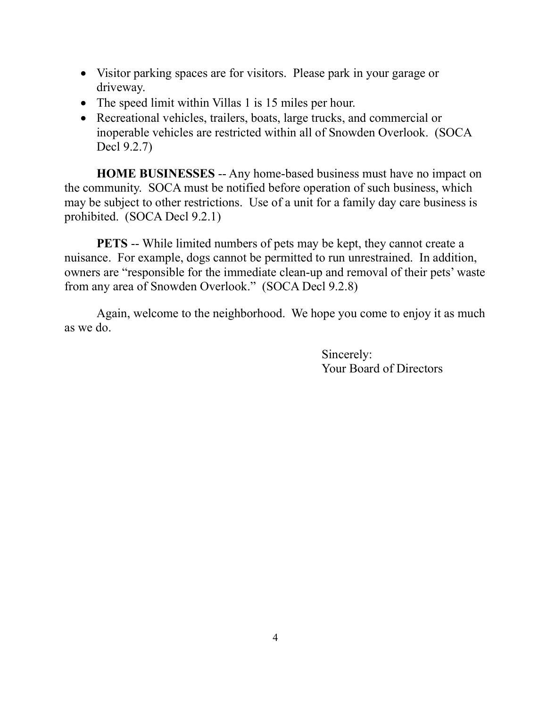- Visitor parking spaces are for visitors. Please park in your garage or driveway.
- The speed limit within Villas 1 is 15 miles per hour.
- Recreational vehicles, trailers, boats, large trucks, and commercial or inoperable vehicles are restricted within all of Snowden Overlook. (SOCA Decl 9.2.7)

HOME BUSINESSES -- Any home-based business must have no impact on the community. SOCA must be notified before operation of such business, which may be subject to other restrictions. Use of a unit for a family day care business is prohibited. (SOCA Decl 9.2.1)

PETS -- While limited numbers of pets may be kept, they cannot create a nuisance. For example, dogs cannot be permitted to run unrestrained. In addition, owners are "responsible for the immediate clean-up and removal of their pets' waste from any area of Snowden Overlook." (SOCA Decl 9.2.8)

Again, welcome to the neighborhood. We hope you come to enjoy it as much as we do.

> Sincerely: Your Board of Directors